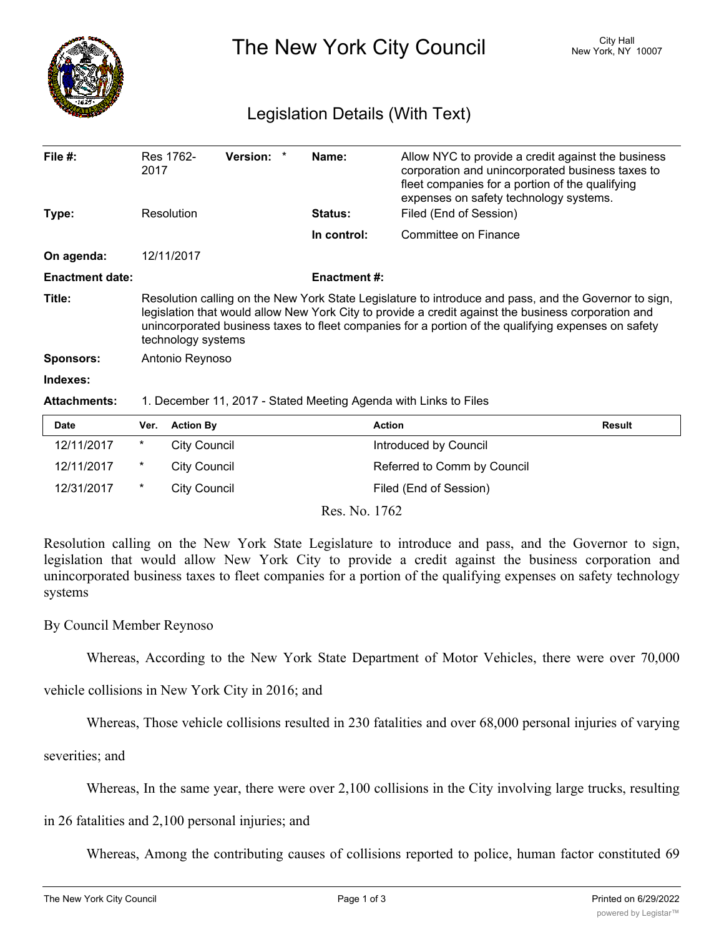

The New York City Council New York, NY 10007

## Legislation Details (With Text)

| File $#$ :<br>Type:    | Res 1762-<br>2017<br>Resolution                                                                                                                                                                                                                                                                                                           | <b>Version:</b> | Name:<br><b>Status:</b> | Allow NYC to provide a credit against the business<br>corporation and unincorporated business taxes to<br>fleet companies for a portion of the qualifying<br>expenses on safety technology systems.<br>Filed (End of Session) |               |
|------------------------|-------------------------------------------------------------------------------------------------------------------------------------------------------------------------------------------------------------------------------------------------------------------------------------------------------------------------------------------|-----------------|-------------------------|-------------------------------------------------------------------------------------------------------------------------------------------------------------------------------------------------------------------------------|---------------|
|                        |                                                                                                                                                                                                                                                                                                                                           |                 |                         |                                                                                                                                                                                                                               |               |
|                        |                                                                                                                                                                                                                                                                                                                                           |                 | In control:             | Committee on Finance                                                                                                                                                                                                          |               |
| On agenda:             | 12/11/2017                                                                                                                                                                                                                                                                                                                                |                 |                         |                                                                                                                                                                                                                               |               |
| <b>Enactment date:</b> |                                                                                                                                                                                                                                                                                                                                           |                 | <b>Enactment #:</b>     |                                                                                                                                                                                                                               |               |
| Title:                 | Resolution calling on the New York State Legislature to introduce and pass, and the Governor to sign,<br>legislation that would allow New York City to provide a credit against the business corporation and<br>unincorporated business taxes to fleet companies for a portion of the qualifying expenses on safety<br>technology systems |                 |                         |                                                                                                                                                                                                                               |               |
| <b>Sponsors:</b>       | Antonio Reynoso                                                                                                                                                                                                                                                                                                                           |                 |                         |                                                                                                                                                                                                                               |               |
| Indexes:               |                                                                                                                                                                                                                                                                                                                                           |                 |                         |                                                                                                                                                                                                                               |               |
| <b>Attachments:</b>    | 1. December 11, 2017 - Stated Meeting Agenda with Links to Files                                                                                                                                                                                                                                                                          |                 |                         |                                                                                                                                                                                                                               |               |
| <b>Date</b>            | <b>Action By</b><br>Ver.                                                                                                                                                                                                                                                                                                                  |                 |                         | <b>Action</b>                                                                                                                                                                                                                 | <b>Result</b> |

| 12/11/2017 | City Council | Introduced by Council       |
|------------|--------------|-----------------------------|
| 12/11/2017 | City Council | Referred to Comm by Council |
| 12/31/2017 | City Council | Filed (End of Session)      |
|            |              |                             |

Res. No. 1762

Resolution calling on the New York State Legislature to introduce and pass, and the Governor to sign, legislation that would allow New York City to provide a credit against the business corporation and unincorporated business taxes to fleet companies for a portion of the qualifying expenses on safety technology systems

## By Council Member Reynoso

Whereas, According to the New York State Department of Motor Vehicles, there were over 70,000

vehicle collisions in New York City in 2016; and

Whereas, Those vehicle collisions resulted in 230 fatalities and over 68,000 personal injuries of varying

severities; and

Whereas, In the same year, there were over 2,100 collisions in the City involving large trucks, resulting

in 26 fatalities and 2,100 personal injuries; and

Whereas, Among the contributing causes of collisions reported to police, human factor constituted 69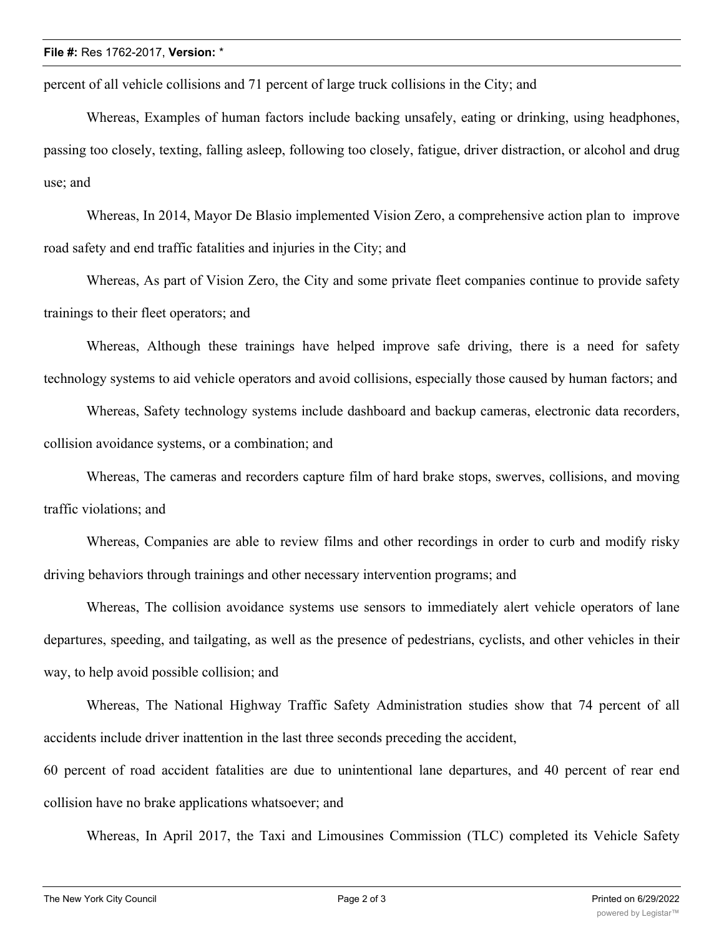percent of all vehicle collisions and 71 percent of large truck collisions in the City; and

Whereas, Examples of human factors include backing unsafely, eating or drinking, using headphones, passing too closely, texting, falling asleep, following too closely, fatigue, driver distraction, or alcohol and drug use; and

Whereas, In 2014, Mayor De Blasio implemented Vision Zero, a comprehensive action plan to improve road safety and end traffic fatalities and injuries in the City; and

Whereas, As part of Vision Zero, the City and some private fleet companies continue to provide safety trainings to their fleet operators; and

Whereas, Although these trainings have helped improve safe driving, there is a need for safety technology systems to aid vehicle operators and avoid collisions, especially those caused by human factors; and

Whereas, Safety technology systems include dashboard and backup cameras, electronic data recorders, collision avoidance systems, or a combination; and

Whereas, The cameras and recorders capture film of hard brake stops, swerves, collisions, and moving traffic violations; and

Whereas, Companies are able to review films and other recordings in order to curb and modify risky driving behaviors through trainings and other necessary intervention programs; and

Whereas, The collision avoidance systems use sensors to immediately alert vehicle operators of lane departures, speeding, and tailgating, as well as the presence of pedestrians, cyclists, and other vehicles in their way, to help avoid possible collision; and

Whereas, The National Highway Traffic Safety Administration studies show that 74 percent of all accidents include driver inattention in the last three seconds preceding the accident,

60 percent of road accident fatalities are due to unintentional lane departures, and 40 percent of rear end collision have no brake applications whatsoever; and

Whereas, In April 2017, the Taxi and Limousines Commission (TLC) completed its Vehicle Safety